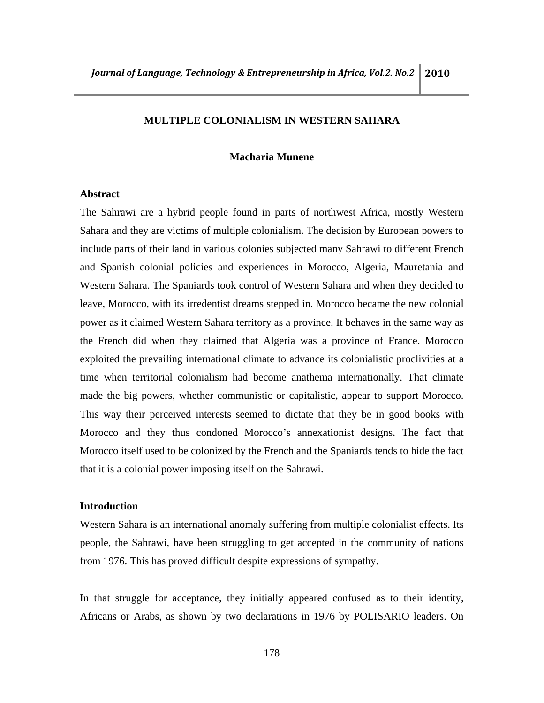# **MULTIPLE COLONIALISM IN WESTERN SAHARA**

# **Macharia Munene**

## **Abstract**

The Sahrawi are a hybrid people found in parts of northwest Africa, mostly Western Sahara and they are victims of multiple colonialism. The decision by European powers to include parts of their land in various colonies subjected many Sahrawi to different French and Spanish colonial policies and experiences in Morocco, Algeria, Mauretania and Western Sahara. The Spaniards took control of Western Sahara and when they decided to leave, Morocco, with its irredentist dreams stepped in. Morocco became the new colonial power as it claimed Western Sahara territory as a province. It behaves in the same way as the French did when they claimed that Algeria was a province of France. Morocco exploited the prevailing international climate to advance its colonialistic proclivities at a time when territorial colonialism had become anathema internationally. That climate made the big powers, whether communistic or capitalistic, appear to support Morocco. This way their perceived interests seemed to dictate that they be in good books with Morocco and they thus condoned Morocco's annexationist designs. The fact that Morocco itself used to be colonized by the French and the Spaniards tends to hide the fact that it is a colonial power imposing itself on the Sahrawi.

#### **Introduction**

Western Sahara is an international anomaly suffering from multiple colonialist effects. Its people, the Sahrawi, have been struggling to get accepted in the community of nations from 1976. This has proved difficult despite expressions of sympathy.

In that struggle for acceptance, they initially appeared confused as to their identity, Africans or Arabs, as shown by two declarations in 1976 by POLISARIO leaders. On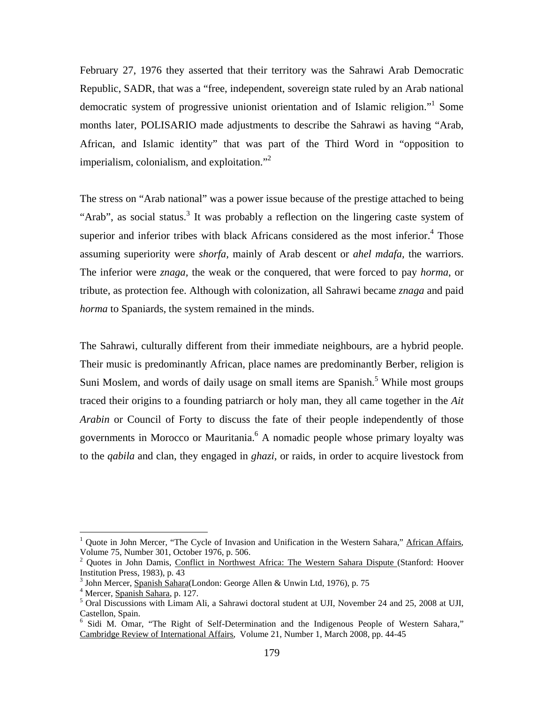February 27, 1976 they asserted that their territory was the Sahrawi Arab Democratic Republic, SADR, that was a "free, independent, sovereign state ruled by an Arab national democratic system of progressive unionist orientation and of Islamic religion."<sup>1</sup> Some months later, POLISARIO made adjustments to describe the Sahrawi as having "Arab, African, and Islamic identity" that was part of the Third Word in "opposition to imperialism, colonialism, and exploitation."<sup>2</sup>

The stress on "Arab national" was a power issue because of the prestige attached to being "Arab", as social status.<sup>3</sup> It was probably a reflection on the lingering caste system of superior and inferior tribes with black Africans considered as the most inferior. $4$  Those assuming superiority were *shorfa,* mainly of Arab descent or *ahel mdafa,* the warriors. The inferior were *znaga,* the weak or the conquered, that were forced to pay *horma*, or tribute, as protection fee. Although with colonization, all Sahrawi became *znaga* and paid *horma* to Spaniards, the system remained in the minds.

The Sahrawi, culturally different from their immediate neighbours, are a hybrid people. Their music is predominantly African, place names are predominantly Berber, religion is Suni Moslem, and words of daily usage on small items are Spanish.<sup>5</sup> While most groups traced their origins to a founding patriarch or holy man, they all came together in the *Ait Arabin* or Council of Forty to discuss the fate of their people independently of those governments in Morocco or Mauritania.<sup>6</sup> A nomadic people whose primary loyalty was to the *qabila* and clan, they engaged in *ghazi,* or raids, in order to acquire livestock from

<sup>&</sup>lt;sup>1</sup> Quote in John Mercer, "The Cycle of Invasion and Unification in the Western Sahara," African Affairs, Volume 75, Number 301, October 1976, p. 506.

<sup>&</sup>lt;sup>2</sup> Quotes in John Damis, Conflict in Northwest Africa: The Western Sahara Dispute (Stanford: Hoover Institution Press, 1983), p. 43

<sup>&</sup>lt;sup>3</sup> John Mercer, Spanish Sahara(London: George Allen & Unwin Ltd, 1976), p. 75<br><sup>4</sup> Mercer, Spanish Sahara, p. 127

 $<sup>4</sup>$  Mercer, Spanish Sahara, p. 127.</sup>

 $<sup>5</sup>$  Oral Discussions with Limam Ali, a Sahrawi doctoral student at UJI, November 24 and 25, 2008 at UJI,</sup> Castellon, Spain.

<sup>&</sup>lt;sup>6</sup> Sidi M. Omar, "The Right of Self-Determination and the Indigenous People of Western Sahara," Cambridge Review of International Affairs, Volume 21, Number 1, March 2008, pp. 44-45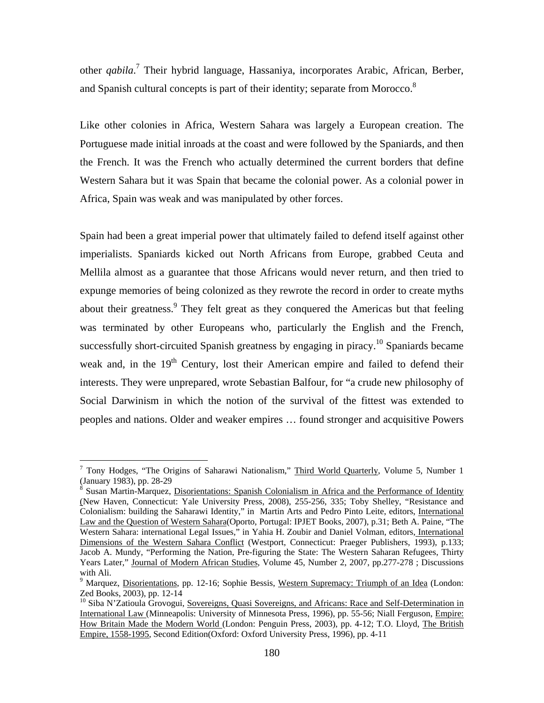other *qabila*. 7 Their hybrid language, Hassaniya, incorporates Arabic, African, Berber, and Spanish cultural concepts is part of their identity; separate from Morocco.<sup>8</sup>

Like other colonies in Africa, Western Sahara was largely a European creation. The Portuguese made initial inroads at the coast and were followed by the Spaniards, and then the French. It was the French who actually determined the current borders that define Western Sahara but it was Spain that became the colonial power. As a colonial power in Africa, Spain was weak and was manipulated by other forces.

Spain had been a great imperial power that ultimately failed to defend itself against other imperialists. Spaniards kicked out North Africans from Europe, grabbed Ceuta and Mellila almost as a guarantee that those Africans would never return, and then tried to expunge memories of being colonized as they rewrote the record in order to create myths about their greatness.<sup>9</sup> They felt great as they conquered the Americas but that feeling was terminated by other Europeans who, particularly the English and the French, successfully short-circuited Spanish greatness by engaging in piracy.<sup>10</sup> Spaniards became weak and, in the  $19<sup>th</sup>$  Century, lost their American empire and failed to defend their interests. They were unprepared, wrote Sebastian Balfour, for "a crude new philosophy of Social Darwinism in which the notion of the survival of the fittest was extended to peoples and nations. Older and weaker empires … found stronger and acquisitive Powers

<sup>&</sup>lt;sup>7</sup> Tony Hodges, "The Origins of Saharawi Nationalism," Third World Quarterly, Volume 5, Number 1 (January 1983), pp. 28-29

<sup>&</sup>lt;sup>8</sup> Susan Martin-Marquez, Disorientations: Spanish Colonialism in Africa and the Performance of Identity (New Haven, Connecticut: Yale University Press, 2008), 255-256, 335; Toby Shelley, "Resistance and Colonialism: building the Saharawi Identity," in Martin Arts and Pedro Pinto Leite, editors, International Law and the Question of Western Sahara(Oporto, Portugal: IPJET Books, 2007), p.31; Beth A. Paine, "The Western Sahara: international Legal Issues," in Yahia H. Zoubir and Daniel Volman, editors, International Dimensions of the Western Sahara Conflict (Westport, Connecticut: Praeger Publishers, 1993), p.133; Jacob A. Mundy, "Performing the Nation, Pre-figuring the State: The Western Saharan Refugees, Thirty Years Later," Journal of Modern African Studies, Volume 45, Number 2, 2007, pp.277-278 ; Discussions with Ali.

<sup>&</sup>lt;sup>9</sup> Marquez, Disorientations, pp. 12-16; Sophie Bessis, Western Supremacy: Triumph of an Idea (London: Zed Books, 2003), pp. 12-14

<sup>&</sup>lt;sup>10</sup> Siba N'Zatioula Grovogui, Sovereigns, Quasi Sovereigns, and Africans: Race and Self-Determination in International Law (Minneapolis: University of Minnesota Press, 1996), pp. 55-56; Niall Ferguson, Empire: How Britain Made the Modern World (London: Penguin Press, 2003), pp. 4-12; T.O. Lloyd, The British Empire, 1558-1995, Second Edition(Oxford: Oxford University Press, 1996), pp. 4-11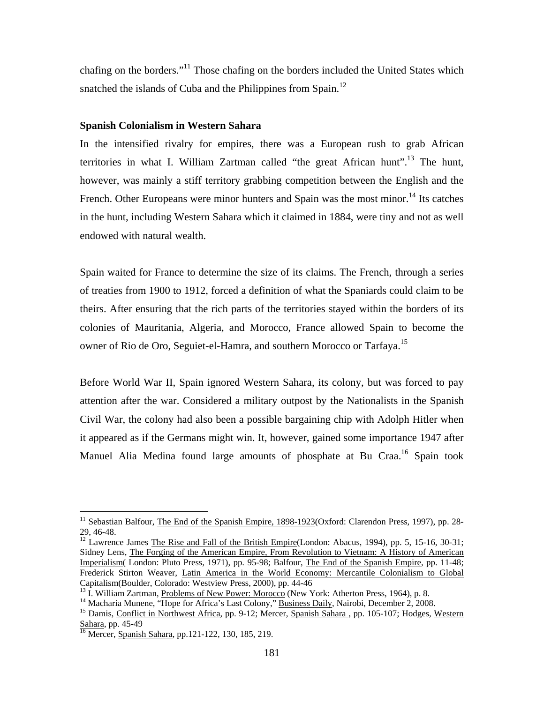chafing on the borders."11 Those chafing on the borders included the United States which snatched the islands of Cuba and the Philippines from Spain.<sup>12</sup>

## **Spanish Colonialism in Western Sahara**

In the intensified rivalry for empires, there was a European rush to grab African territories in what I. William Zartman called "the great African hunt".<sup>13</sup> The hunt, however, was mainly a stiff territory grabbing competition between the English and the French. Other Europeans were minor hunters and Spain was the most minor.<sup>14</sup> Its catches in the hunt, including Western Sahara which it claimed in 1884, were tiny and not as well endowed with natural wealth.

Spain waited for France to determine the size of its claims. The French, through a series of treaties from 1900 to 1912, forced a definition of what the Spaniards could claim to be theirs. After ensuring that the rich parts of the territories stayed within the borders of its colonies of Mauritania, Algeria, and Morocco, France allowed Spain to become the owner of Rio de Oro, Seguiet-el-Hamra, and southern Morocco or Tarfaya.15

Before World War II, Spain ignored Western Sahara, its colony, but was forced to pay attention after the war. Considered a military outpost by the Nationalists in the Spanish Civil War, the colony had also been a possible bargaining chip with Adolph Hitler when it appeared as if the Germans might win. It, however, gained some importance 1947 after Manuel Alia Medina found large amounts of phosphate at Bu Craa.<sup>16</sup> Spain took

<sup>&</sup>lt;sup>11</sup> Sebastian Balfour, The End of the Spanish Empire, 1898-1923(Oxford: Clarendon Press, 1997), pp. 28-29, 46-48.

<sup>&</sup>lt;sup>12</sup> Lawrence James The Rise and Fall of the British Empire(London: Abacus, 1994), pp. 5, 15-16, 30-31; Sidney Lens, The Forging of the American Empire, From Revolution to Vietnam: A History of American Imperialism( London: Pluto Press, 1971), pp. 95-98; Balfour, The End of the Spanish Empire, pp. 11-48; Frederick Stirton Weaver, *Latin America* in the World Economy: Mercantile Colonialism to Global Capitalism (Boulder, Colorado: Westview Press, 2000), pp. 44-46

<sup>&</sup>lt;sup>13</sup> I. William Zartman, Problems of New Power: Morocco (New York: Atherton Press, 1964), p. 8.<br><sup>14</sup> Macharia Munene, "Hope for Africa's Last Colony," <u>Business Daily</u>, Nairobi, December 2, 2008.<br><sup>15</sup> Damis, Conflict in No

Sahara, pp. 45-49<br><sup>16</sup> Mercer, <u>Spanish Sahara</u>, pp.121-122, 130, 185, 219.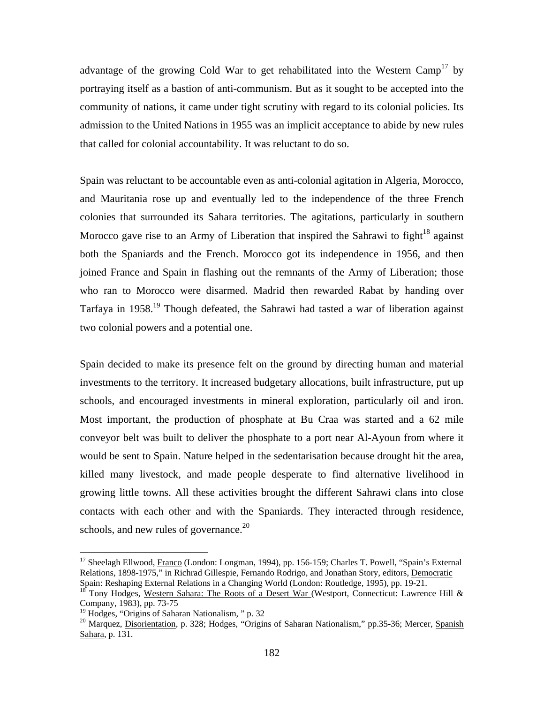advantage of the growing Cold War to get rehabilitated into the Western  $\text{ Camp}^{17}$  by portraying itself as a bastion of anti-communism. But as it sought to be accepted into the community of nations, it came under tight scrutiny with regard to its colonial policies. Its admission to the United Nations in 1955 was an implicit acceptance to abide by new rules that called for colonial accountability. It was reluctant to do so.

Spain was reluctant to be accountable even as anti-colonial agitation in Algeria, Morocco, and Mauritania rose up and eventually led to the independence of the three French colonies that surrounded its Sahara territories. The agitations, particularly in southern Morocco gave rise to an Army of Liberation that inspired the Sahrawi to fight<sup>18</sup> against both the Spaniards and the French. Morocco got its independence in 1956, and then joined France and Spain in flashing out the remnants of the Army of Liberation; those who ran to Morocco were disarmed. Madrid then rewarded Rabat by handing over Tarfaya in 1958.<sup>19</sup> Though defeated, the Sahrawi had tasted a war of liberation against two colonial powers and a potential one.

Spain decided to make its presence felt on the ground by directing human and material investments to the territory. It increased budgetary allocations, built infrastructure, put up schools, and encouraged investments in mineral exploration, particularly oil and iron. Most important, the production of phosphate at Bu Craa was started and a 62 mile conveyor belt was built to deliver the phosphate to a port near Al-Ayoun from where it would be sent to Spain. Nature helped in the sedentarisation because drought hit the area, killed many livestock, and made people desperate to find alternative livelihood in growing little towns. All these activities brought the different Sahrawi clans into close contacts with each other and with the Spaniards. They interacted through residence, schools, and new rules of governance. $20$ 

1

<sup>&</sup>lt;sup>17</sup> Sheelagh Ellwood, Franco (London: Longman, 1994), pp. 156-159; Charles T. Powell, "Spain's External Relations, 1898-1975," in Richrad Gillespie, Fernando Rodrigo, and Jonathan Story, editors, Democratic Spain: Reshaping External Relations in a Changing World (London: Routledge, 1995), pp. 19-21.

<sup>&</sup>lt;sup>18</sup> Tony Hodges, Western Sahara: The Roots of a Desert War (Westport, Connecticut: Lawrence Hill & Company, 1983), pp. 73-75

<sup>19</sup> Hodges, "Origins of Saharan Nationalism, " p. 32

<sup>&</sup>lt;sup>20</sup> Marquez, *Disorientation*, p. 328; Hodges, "Origins of Saharan Nationalism," pp.35-36; Mercer, Spanish Sahara, p. 131.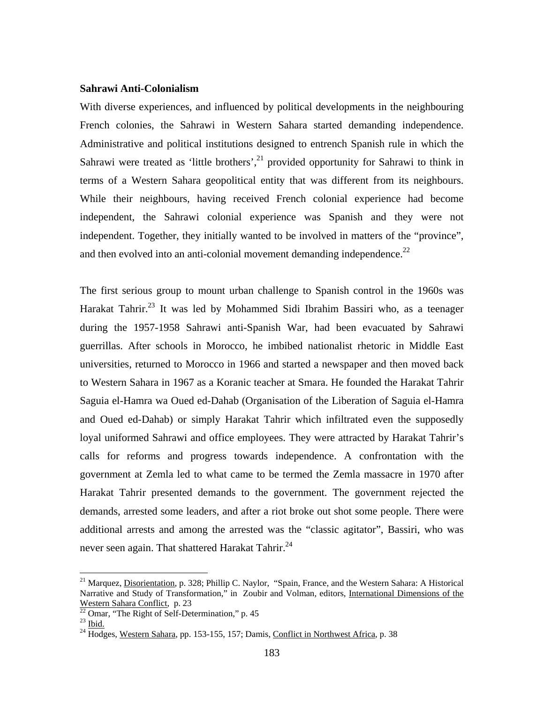## **Sahrawi Anti-Colonialism**

With diverse experiences, and influenced by political developments in the neighbouring French colonies, the Sahrawi in Western Sahara started demanding independence. Administrative and political institutions designed to entrench Spanish rule in which the Sahrawi were treated as 'little brothers',<sup>21</sup> provided opportunity for Sahrawi to think in terms of a Western Sahara geopolitical entity that was different from its neighbours. While their neighbours, having received French colonial experience had become independent, the Sahrawi colonial experience was Spanish and they were not independent. Together, they initially wanted to be involved in matters of the "province", and then evolved into an anti-colonial movement demanding independence. $^{22}$ 

The first serious group to mount urban challenge to Spanish control in the 1960s was Harakat Tahrir.<sup>23</sup> It was led by Mohammed Sidi Ibrahim Bassiri who, as a teenager during the 1957-1958 Sahrawi anti-Spanish War, had been evacuated by Sahrawi guerrillas. After schools in Morocco, he imbibed nationalist rhetoric in Middle East universities, returned to Morocco in 1966 and started a newspaper and then moved back to Western Sahara in 1967 as a Koranic teacher at Smara. He founded the Harakat Tahrir Saguia el-Hamra wa Oued ed-Dahab (Organisation of the Liberation of Saguia el-Hamra and Oued ed-Dahab) or simply Harakat Tahrir which infiltrated even the supposedly loyal uniformed Sahrawi and office employees. They were attracted by Harakat Tahrir's calls for reforms and progress towards independence. A confrontation with the government at Zemla led to what came to be termed the Zemla massacre in 1970 after Harakat Tahrir presented demands to the government. The government rejected the demands, arrested some leaders, and after a riot broke out shot some people. There were additional arrests and among the arrested was the "classic agitator", Bassiri, who was never seen again. That shattered Harakat Tahrir.<sup>24</sup>

<sup>&</sup>lt;sup>21</sup> Marquez, Disorientation, p. 328; Phillip C. Naylor, "Spain, France, and the Western Sahara: A Historical Narrative and Study of Transformation," in Zoubir and Volman, editors, International Dimensions of the Western Sahara Conflict, p. 23<br><sup>22</sup> Omar, "The Right of Self-Determination," p. 45

 $^{23}$  Ibid.

<sup>&</sup>lt;sup>24</sup> Hodges, Western Sahara, pp. 153-155, 157; Damis, Conflict in Northwest Africa, p. 38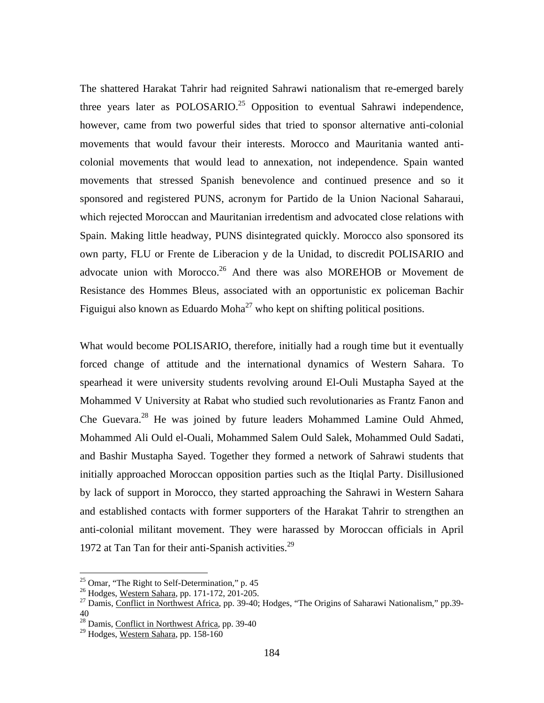The shattered Harakat Tahrir had reignited Sahrawi nationalism that re-emerged barely three years later as POLOSARIO.<sup>25</sup> Opposition to eventual Sahrawi independence, however, came from two powerful sides that tried to sponsor alternative anti-colonial movements that would favour their interests. Morocco and Mauritania wanted anticolonial movements that would lead to annexation, not independence. Spain wanted movements that stressed Spanish benevolence and continued presence and so it sponsored and registered PUNS, acronym for Partido de la Union Nacional Saharaui, which rejected Moroccan and Mauritanian irredentism and advocated close relations with Spain. Making little headway, PUNS disintegrated quickly. Morocco also sponsored its own party, FLU or Frente de Liberacion y de la Unidad, to discredit POLISARIO and advocate union with Morocco.<sup>26</sup> And there was also MOREHOB or Movement de Resistance des Hommes Bleus, associated with an opportunistic ex policeman Bachir Figuigui also known as Eduardo Moha<sup>27</sup> who kept on shifting political positions.

What would become POLISARIO, therefore, initially had a rough time but it eventually forced change of attitude and the international dynamics of Western Sahara. To spearhead it were university students revolving around El-Ouli Mustapha Sayed at the Mohammed V University at Rabat who studied such revolutionaries as Frantz Fanon and Che Guevara.<sup>28</sup> He was joined by future leaders Mohammed Lamine Ould Ahmed, Mohammed Ali Ould el-Ouali, Mohammed Salem Ould Salek, Mohammed Ould Sadati, and Bashir Mustapha Sayed. Together they formed a network of Sahrawi students that initially approached Moroccan opposition parties such as the Itiqlal Party. Disillusioned by lack of support in Morocco, they started approaching the Sahrawi in Western Sahara and established contacts with former supporters of the Harakat Tahrir to strengthen an anti-colonial militant movement. They were harassed by Moroccan officials in April 1972 at Tan Tan for their anti-Spanish activities.<sup>29</sup>

1

 $25$  Omar, "The Right to Self-Determination," p. 45

<sup>&</sup>lt;sup>26</sup> Hodges, <u>Western Sahara</u>, pp. 171-172, 201-205.<br><sup>27</sup> Damis, Conflict in Northwest Africa, pp. 39-40; Hodges, "The Origins of Saharawi Nationalism," pp.39-40

<sup>&</sup>lt;sup>28</sup> Damis, Conflict in Northwest Africa, pp. 39-40

<sup>&</sup>lt;sup>29</sup> Hodges, Western Sahara, pp. 158-160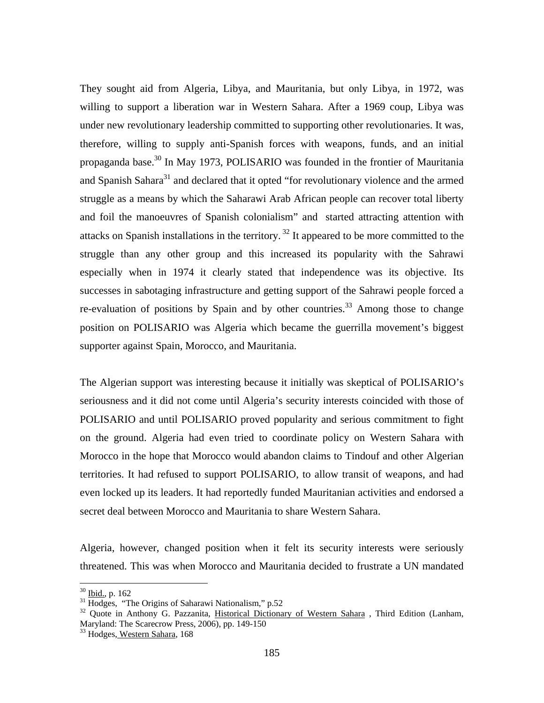They sought aid from Algeria, Libya, and Mauritania, but only Libya, in 1972, was willing to support a liberation war in Western Sahara. After a 1969 coup, Libya was under new revolutionary leadership committed to supporting other revolutionaries. It was, therefore, willing to supply anti-Spanish forces with weapons, funds, and an initial propaganda base.30 In May 1973, POLISARIO was founded in the frontier of Mauritania and Spanish Sahara $31$  and declared that it opted "for revolutionary violence and the armed struggle as a means by which the Saharawi Arab African people can recover total liberty and foil the manoeuvres of Spanish colonialism" and started attracting attention with attacks on Spanish installations in the territory.<sup>32</sup> It appeared to be more committed to the struggle than any other group and this increased its popularity with the Sahrawi especially when in 1974 it clearly stated that independence was its objective. Its successes in sabotaging infrastructure and getting support of the Sahrawi people forced a re-evaluation of positions by Spain and by other countries.<sup>33</sup> Among those to change position on POLISARIO was Algeria which became the guerrilla movement's biggest supporter against Spain, Morocco, and Mauritania.

The Algerian support was interesting because it initially was skeptical of POLISARIO's seriousness and it did not come until Algeria's security interests coincided with those of POLISARIO and until POLISARIO proved popularity and serious commitment to fight on the ground. Algeria had even tried to coordinate policy on Western Sahara with Morocco in the hope that Morocco would abandon claims to Tindouf and other Algerian territories. It had refused to support POLISARIO, to allow transit of weapons, and had even locked up its leaders. It had reportedly funded Mauritanian activities and endorsed a secret deal between Morocco and Mauritania to share Western Sahara.

Algeria, however, changed position when it felt its security interests were seriously threatened. This was when Morocco and Mauritania decided to frustrate a UN mandated

 $\frac{30}{31}$  Ibid., p. 162<br><sup>31</sup> Hodges, "The Origins of Saharawi Nationalism," p.52

<sup>&</sup>lt;sup>32</sup> Quote in Anthony G. Pazzanita, Historical Dictionary of Western Sahara, Third Edition (Lanham, Maryland: The Scarecrow Press, 2006), pp. 149-150

<sup>&</sup>lt;sup>33</sup> Hodges, Western Sahara, 168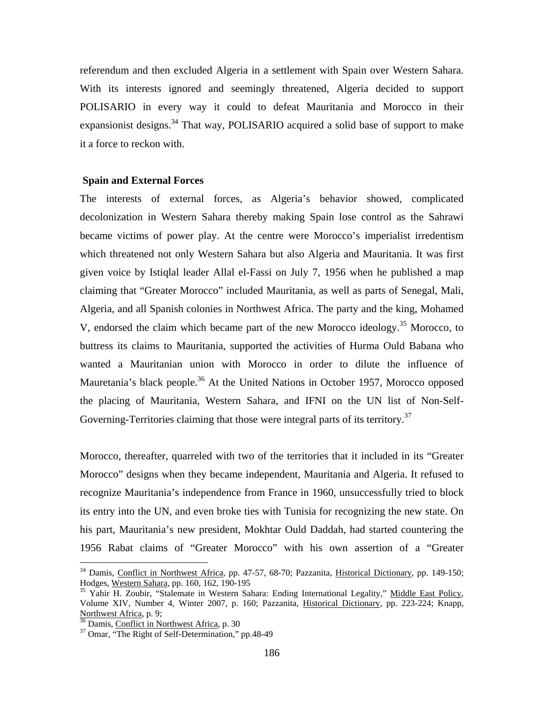referendum and then excluded Algeria in a settlement with Spain over Western Sahara. With its interests ignored and seemingly threatened, Algeria decided to support POLISARIO in every way it could to defeat Mauritania and Morocco in their expansionist designs.<sup>34</sup> That way, POLISARIO acquired a solid base of support to make it a force to reckon with.

# **Spain and External Forces**

The interests of external forces, as Algeria's behavior showed, complicated decolonization in Western Sahara thereby making Spain lose control as the Sahrawi became victims of power play. At the centre were Morocco's imperialist irredentism which threatened not only Western Sahara but also Algeria and Mauritania. It was first given voice by Istiqlal leader Allal el-Fassi on July 7, 1956 when he published a map claiming that "Greater Morocco" included Mauritania, as well as parts of Senegal, Mali, Algeria, and all Spanish colonies in Northwest Africa. The party and the king, Mohamed V, endorsed the claim which became part of the new Morocco ideology.<sup>35</sup> Morocco, to buttress its claims to Mauritania, supported the activities of Hurma Ould Babana who wanted a Mauritanian union with Morocco in order to dilute the influence of Mauretania's black people.<sup>36</sup> At the United Nations in October 1957, Morocco opposed the placing of Mauritania, Western Sahara, and IFNI on the UN list of Non-Self-Governing-Territories claiming that those were integral parts of its territory.<sup>37</sup>

Morocco, thereafter, quarreled with two of the territories that it included in its "Greater Morocco" designs when they became independent, Mauritania and Algeria. It refused to recognize Mauritania's independence from France in 1960, unsuccessfully tried to block its entry into the UN, and even broke ties with Tunisia for recognizing the new state. On his part, Mauritania's new president, Mokhtar Ould Daddah, had started countering the 1956 Rabat claims of "Greater Morocco" with his own assertion of a "Greater

<u>.</u>

<sup>&</sup>lt;sup>34</sup> Damis, Conflict in Northwest Africa, pp. 47-57, 68-70; Pazzanita, Historical Dictionary, pp. 149-150; Hodges, Western Sahara, pp. 160, 162, 190-195<br><sup>35</sup> Yahir H. Zoubir, "Stalemate in Western Sahara: Ending International Legality," Middle East Policy,

Volume XIV, Number 4, Winter 2007, p. 160; Pazzanita, Historical Dictionary, pp. 223-224; Knapp, Northwest Africa, p. 9;<br><sup>36</sup> Damis, Conflict in Northwest Africa, p. 30<br><sup>37</sup> Omar, "The Right of Self-Determination," pp.48-49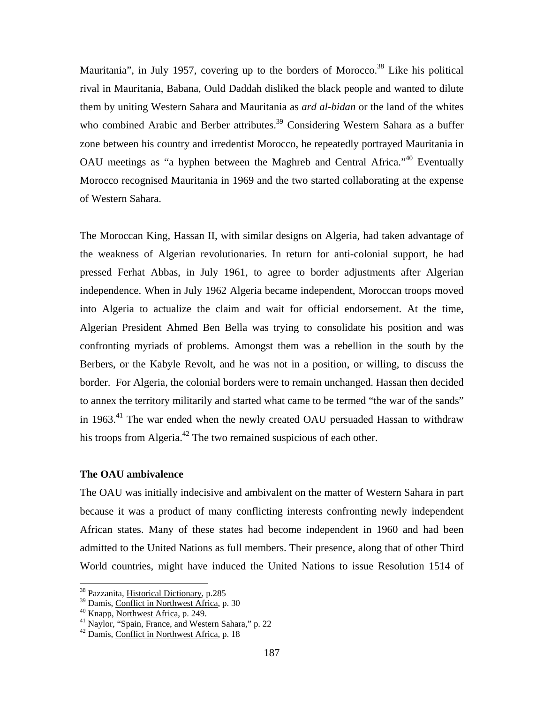Mauritania", in July 1957, covering up to the borders of Morocco.<sup>38</sup> Like his political rival in Mauritania, Babana, Ould Daddah disliked the black people and wanted to dilute them by uniting Western Sahara and Mauritania as *ard al-bidan* or the land of the whites who combined Arabic and Berber attributes.<sup>39</sup> Considering Western Sahara as a buffer zone between his country and irredentist Morocco, he repeatedly portrayed Mauritania in OAU meetings as "a hyphen between the Maghreb and Central Africa."40 Eventually Morocco recognised Mauritania in 1969 and the two started collaborating at the expense of Western Sahara.

The Moroccan King, Hassan II, with similar designs on Algeria, had taken advantage of the weakness of Algerian revolutionaries. In return for anti-colonial support, he had pressed Ferhat Abbas, in July 1961, to agree to border adjustments after Algerian independence. When in July 1962 Algeria became independent, Moroccan troops moved into Algeria to actualize the claim and wait for official endorsement. At the time, Algerian President Ahmed Ben Bella was trying to consolidate his position and was confronting myriads of problems. Amongst them was a rebellion in the south by the Berbers, or the Kabyle Revolt, and he was not in a position, or willing, to discuss the border. For Algeria, the colonial borders were to remain unchanged. Hassan then decided to annex the territory militarily and started what came to be termed "the war of the sands" in 1963.<sup>41</sup> The war ended when the newly created OAU persuaded Hassan to withdraw his troops from Algeria.<sup>42</sup> The two remained suspicious of each other.

# **The OAU ambivalence**

The OAU was initially indecisive and ambivalent on the matter of Western Sahara in part because it was a product of many conflicting interests confronting newly independent African states. Many of these states had become independent in 1960 and had been admitted to the United Nations as full members. Their presence, along that of other Third World countries, might have induced the United Nations to issue Resolution 1514 of

1

<sup>&</sup>lt;sup>38</sup> Pazzanita, Historical Dictionary, p.285

<sup>&</sup>lt;sup>39</sup> Damis, Conflict in Northwest Africa, p. 30<br><sup>40</sup> Knapp, <u>Northwest Africa</u>, p. 249.<br><sup>41</sup> Naylor, "Spain, France, and Western Sahara," p. 22

 $42$  Damis, Conflict in Northwest Africa, p. 18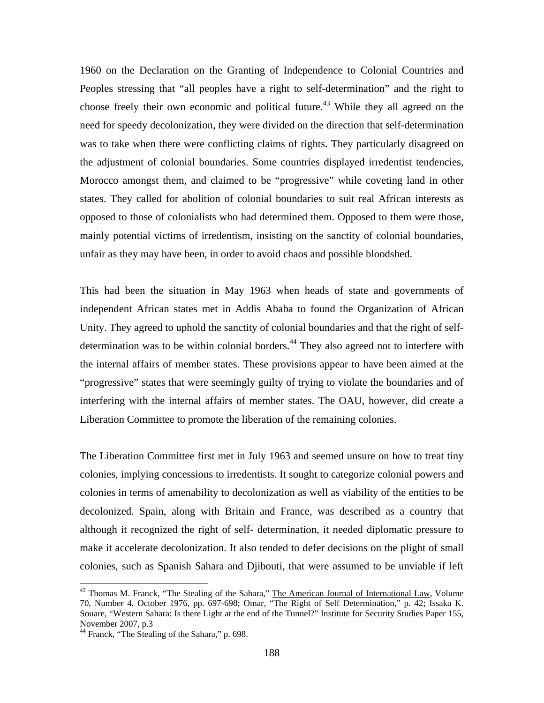1960 on the Declaration on the Granting of Independence to Colonial Countries and Peoples stressing that "all peoples have a right to self-determination" and the right to choose freely their own economic and political future.<sup>43</sup> While they all agreed on the need for speedy decolonization, they were divided on the direction that self-determination was to take when there were conflicting claims of rights. They particularly disagreed on the adjustment of colonial boundaries. Some countries displayed irredentist tendencies, Morocco amongst them, and claimed to be "progressive" while coveting land in other states. They called for abolition of colonial boundaries to suit real African interests as opposed to those of colonialists who had determined them. Opposed to them were those, mainly potential victims of irredentism, insisting on the sanctity of colonial boundaries, unfair as they may have been, in order to avoid chaos and possible bloodshed.

This had been the situation in May 1963 when heads of state and governments of independent African states met in Addis Ababa to found the Organization of African Unity. They agreed to uphold the sanctity of colonial boundaries and that the right of selfdetermination was to be within colonial borders.<sup>44</sup> They also agreed not to interfere with the internal affairs of member states. These provisions appear to have been aimed at the "progressive" states that were seemingly guilty of trying to violate the boundaries and of interfering with the internal affairs of member states. The OAU, however, did create a Liberation Committee to promote the liberation of the remaining colonies.

The Liberation Committee first met in July 1963 and seemed unsure on how to treat tiny colonies, implying concessions to irredentists. It sought to categorize colonial powers and colonies in terms of amenability to decolonization as well as viability of the entities to be decolonized. Spain, along with Britain and France, was described as a country that although it recognized the right of self- determination, it needed diplomatic pressure to make it accelerate decolonization. It also tended to defer decisions on the plight of small colonies, such as Spanish Sahara and Djibouti, that were assumed to be unviable if left

<sup>&</sup>lt;sup>43</sup> Thomas M. Franck, "The Stealing of the Sahara," The American Journal of International Law, Volume 70, Number 4, October 1976, pp. 697-698; Omar, "The Right of Self Determination," p. 42; Issaka K. Souare, "Western Sahara: Is there Light at the end of the Tunnel?" Institute for Security Studies Paper 155, November 2007, p.3

<sup>44</sup> Franck, "The Stealing of the Sahara," p. 698.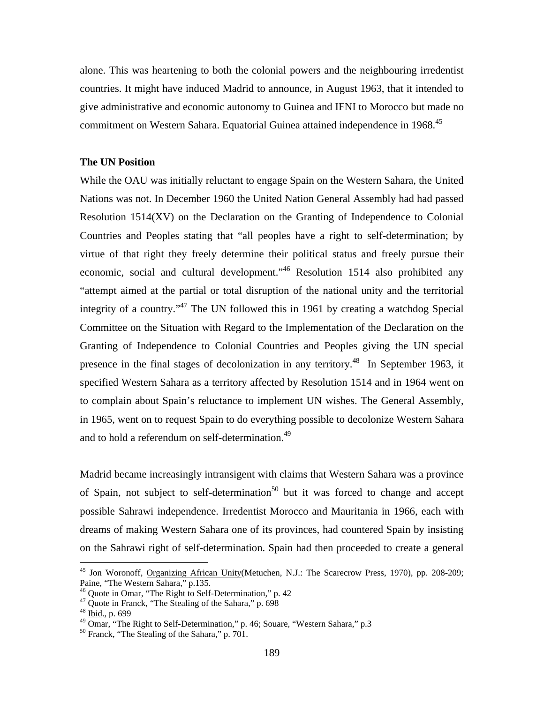alone. This was heartening to both the colonial powers and the neighbouring irredentist countries. It might have induced Madrid to announce, in August 1963, that it intended to give administrative and economic autonomy to Guinea and IFNI to Morocco but made no commitment on Western Sahara. Equatorial Guinea attained independence in 1968.<sup>45</sup>

# **The UN Position**

While the OAU was initially reluctant to engage Spain on the Western Sahara, the United Nations was not. In December 1960 the United Nation General Assembly had had passed Resolution 1514(XV) on the Declaration on the Granting of Independence to Colonial Countries and Peoples stating that "all peoples have a right to self-determination; by virtue of that right they freely determine their political status and freely pursue their economic, social and cultural development."<sup>46</sup> Resolution 1514 also prohibited any "attempt aimed at the partial or total disruption of the national unity and the territorial integrity of a country."47 The UN followed this in 1961 by creating a watchdog Special Committee on the Situation with Regard to the Implementation of the Declaration on the Granting of Independence to Colonial Countries and Peoples giving the UN special presence in the final stages of decolonization in any territory.<sup>48</sup> In September 1963, it specified Western Sahara as a territory affected by Resolution 1514 and in 1964 went on to complain about Spain's reluctance to implement UN wishes. The General Assembly, in 1965, went on to request Spain to do everything possible to decolonize Western Sahara and to hold a referendum on self-determination.<sup>49</sup>

Madrid became increasingly intransigent with claims that Western Sahara was a province of Spain, not subject to self-determination<sup>50</sup> but it was forced to change and accept possible Sahrawi independence. Irredentist Morocco and Mauritania in 1966, each with dreams of making Western Sahara one of its provinces, had countered Spain by insisting on the Sahrawi right of self-determination. Spain had then proceeded to create a general

<sup>&</sup>lt;sup>45</sup> Jon Woronoff, Organizing African Unity(Metuchen, N.J.: The Scarecrow Press, 1970), pp. 208-209; Paine, "The Western Sahara," p.135.

<sup>&</sup>lt;sup>46</sup> Quote in Omar, "The Right to Self-Determination," p. 42

<sup>47</sup> Quote in Franck, "The Stealing of the Sahara," p. 698

 $48$  Ibid., p. 699

<sup>&</sup>lt;sup>49</sup> Omar, "The Right to Self-Determination," p. 46; Souare, "Western Sahara," p.3

<sup>50</sup> Franck, "The Stealing of the Sahara," p. 701.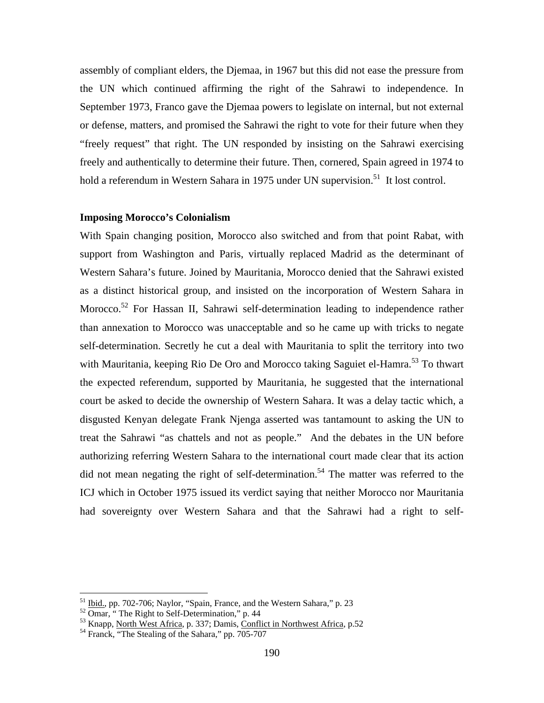assembly of compliant elders, the Djemaa, in 1967 but this did not ease the pressure from the UN which continued affirming the right of the Sahrawi to independence. In September 1973, Franco gave the Djemaa powers to legislate on internal, but not external or defense, matters, and promised the Sahrawi the right to vote for their future when they "freely request" that right. The UN responded by insisting on the Sahrawi exercising freely and authentically to determine their future. Then, cornered, Spain agreed in 1974 to hold a referendum in Western Sahara in 1975 under UN supervision.<sup>51</sup> It lost control.

## **Imposing Morocco's Colonialism**

With Spain changing position, Morocco also switched and from that point Rabat, with support from Washington and Paris, virtually replaced Madrid as the determinant of Western Sahara's future. Joined by Mauritania, Morocco denied that the Sahrawi existed as a distinct historical group, and insisted on the incorporation of Western Sahara in Morocco.<sup>52</sup> For Hassan II, Sahrawi self-determination leading to independence rather than annexation to Morocco was unacceptable and so he came up with tricks to negate self-determination. Secretly he cut a deal with Mauritania to split the territory into two with Mauritania, keeping Rio De Oro and Morocco taking Saguiet el-Hamra.<sup>53</sup> To thwart the expected referendum, supported by Mauritania, he suggested that the international court be asked to decide the ownership of Western Sahara. It was a delay tactic which, a disgusted Kenyan delegate Frank Njenga asserted was tantamount to asking the UN to treat the Sahrawi "as chattels and not as people." And the debates in the UN before authorizing referring Western Sahara to the international court made clear that its action did not mean negating the right of self-determination.<sup>54</sup> The matter was referred to the ICJ which in October 1975 issued its verdict saying that neither Morocco nor Mauritania had sovereignty over Western Sahara and that the Sahrawi had a right to self-

<sup>&</sup>lt;sup>51</sup> <u>Ibid.</u>, pp. 702-706; Naylor, "Spain, France, and the Western Sahara," p. 23<br><sup>52</sup> Omar, " The Right to Self-Determination," p. 44<br><sup>53</sup> Knapp, <u>North West Africa</u>, p. 337; Damis, <u>Conflict in Northwest Africa</u>, p.52<br><sup></sup>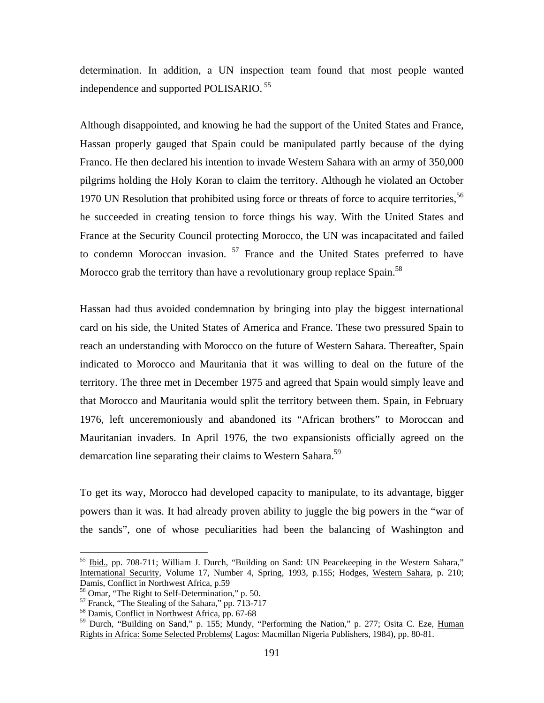determination. In addition, a UN inspection team found that most people wanted independence and supported POLISARIO.<sup>55</sup>

Although disappointed, and knowing he had the support of the United States and France, Hassan properly gauged that Spain could be manipulated partly because of the dying Franco. He then declared his intention to invade Western Sahara with an army of 350,000 pilgrims holding the Holy Koran to claim the territory. Although he violated an October 1970 UN Resolution that prohibited using force or threats of force to acquire territories,  $56$ he succeeded in creating tension to force things his way. With the United States and France at the Security Council protecting Morocco, the UN was incapacitated and failed to condemn Moroccan invasion. 57 France and the United States preferred to have Morocco grab the territory than have a revolutionary group replace Spain.<sup>58</sup>

Hassan had thus avoided condemnation by bringing into play the biggest international card on his side, the United States of America and France. These two pressured Spain to reach an understanding with Morocco on the future of Western Sahara. Thereafter, Spain indicated to Morocco and Mauritania that it was willing to deal on the future of the territory. The three met in December 1975 and agreed that Spain would simply leave and that Morocco and Mauritania would split the territory between them. Spain, in February 1976, left unceremoniously and abandoned its "African brothers" to Moroccan and Mauritanian invaders. In April 1976, the two expansionists officially agreed on the demarcation line separating their claims to Western Sahara.<sup>59</sup>

To get its way, Morocco had developed capacity to manipulate, to its advantage, bigger powers than it was. It had already proven ability to juggle the big powers in the "war of the sands", one of whose peculiarities had been the balancing of Washington and

<sup>&</sup>lt;sup>55</sup> Ibid., pp. 708-711; William J. Durch, "Building on Sand: UN Peacekeeping in the Western Sahara," International Security, Volume 17, Number 4, Spring, 1993, p.155; Hodges, Western Sahara, p. 210; Damis, Conflict in Northwest Africa, p.59

<sup>&</sup>lt;sup>56</sup> Omar, "The Right to Self-Determination," p. 50.

<sup>57</sup> Franck, "The Stealing of the Sahara," pp. 713-717

<sup>58</sup> Damis, Conflict in Northwest Africa, pp. 67-68

<sup>&</sup>lt;sup>59</sup> Durch, "Building on Sand," p. 155; Mundy, "Performing the Nation," p. 277; Osita C. Eze, Human Rights in Africa: Some Selected Problems( Lagos: Macmillan Nigeria Publishers, 1984), pp. 80-81.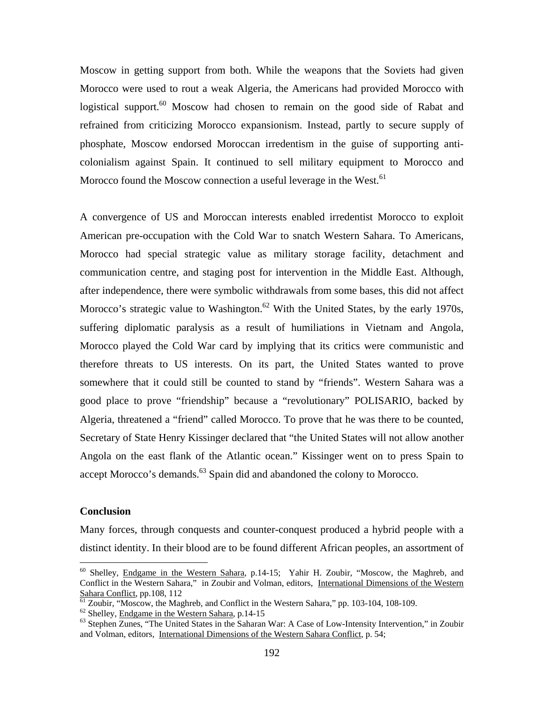Moscow in getting support from both. While the weapons that the Soviets had given Morocco were used to rout a weak Algeria, the Americans had provided Morocco with logistical support.<sup>60</sup> Moscow had chosen to remain on the good side of Rabat and refrained from criticizing Morocco expansionism. Instead, partly to secure supply of phosphate, Moscow endorsed Moroccan irredentism in the guise of supporting anticolonialism against Spain. It continued to sell military equipment to Morocco and Morocco found the Moscow connection a useful leverage in the West.<sup>61</sup>

A convergence of US and Moroccan interests enabled irredentist Morocco to exploit American pre-occupation with the Cold War to snatch Western Sahara. To Americans, Morocco had special strategic value as military storage facility, detachment and communication centre, and staging post for intervention in the Middle East. Although, after independence, there were symbolic withdrawals from some bases, this did not affect Morocco's strategic value to Washington. $62$  With the United States, by the early 1970s, suffering diplomatic paralysis as a result of humiliations in Vietnam and Angola, Morocco played the Cold War card by implying that its critics were communistic and therefore threats to US interests. On its part, the United States wanted to prove somewhere that it could still be counted to stand by "friends". Western Sahara was a good place to prove "friendship" because a "revolutionary" POLISARIO, backed by Algeria, threatened a "friend" called Morocco. To prove that he was there to be counted, Secretary of State Henry Kissinger declared that "the United States will not allow another Angola on the east flank of the Atlantic ocean." Kissinger went on to press Spain to accept Morocco's demands.<sup>63</sup> Spain did and abandoned the colony to Morocco.

## **Conclusion**

 $\overline{a}$ 

Many forces, through conquests and counter-conquest produced a hybrid people with a distinct identity. In their blood are to be found different African peoples, an assortment of

<sup>&</sup>lt;sup>60</sup> Shelley, Endgame in the Western Sahara, p.14-15; Yahir H. Zoubir, "Moscow, the Maghreb, and Conflict in the Western Sahara," in Zoubir and Volman, editors, International Dimensions of the Western Sahara Conflict, pp.108, 112<br>  $\frac{61}{12}$  Zoubir, "Moscow, the Maghreb, and Conflict in the Western Sahara," pp. 103-104, 108-109.<br>  $\frac{62}{12}$  Shelley, Endgame in the Western Sahara, p.14-15

<sup>&</sup>lt;sup>63</sup> Stephen Zunes, "The United States in the Saharan War: A Case of Low-Intensity Intervention," in Zoubir and Volman, editors, International Dimensions of the Western Sahara Conflict, p. 54;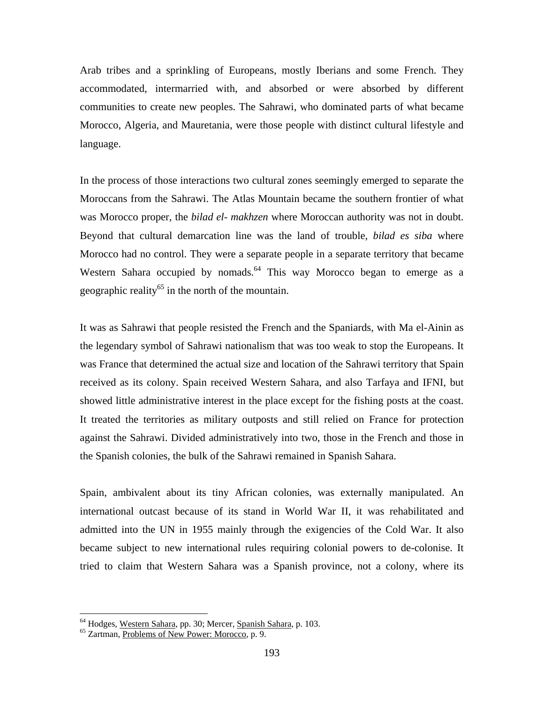Arab tribes and a sprinkling of Europeans, mostly Iberians and some French. They accommodated, intermarried with, and absorbed or were absorbed by different communities to create new peoples. The Sahrawi, who dominated parts of what became Morocco, Algeria, and Mauretania, were those people with distinct cultural lifestyle and language.

In the process of those interactions two cultural zones seemingly emerged to separate the Moroccans from the Sahrawi. The Atlas Mountain became the southern frontier of what was Morocco proper, the *bilad el- makhzen* where Moroccan authority was not in doubt. Beyond that cultural demarcation line was the land of trouble, *bilad es siba* where Morocco had no control. They were a separate people in a separate territory that became Western Sahara occupied by nomads.<sup>64</sup> This way Morocco began to emerge as a geographic reality<sup>65</sup> in the north of the mountain.

It was as Sahrawi that people resisted the French and the Spaniards, with Ma el-Ainin as the legendary symbol of Sahrawi nationalism that was too weak to stop the Europeans. It was France that determined the actual size and location of the Sahrawi territory that Spain received as its colony. Spain received Western Sahara, and also Tarfaya and IFNI, but showed little administrative interest in the place except for the fishing posts at the coast. It treated the territories as military outposts and still relied on France for protection against the Sahrawi. Divided administratively into two, those in the French and those in the Spanish colonies, the bulk of the Sahrawi remained in Spanish Sahara.

Spain, ambivalent about its tiny African colonies, was externally manipulated. An international outcast because of its stand in World War II, it was rehabilitated and admitted into the UN in 1955 mainly through the exigencies of the Cold War. It also became subject to new international rules requiring colonial powers to de-colonise. It tried to claim that Western Sahara was a Spanish province, not a colony, where its

<sup>&</sup>lt;sup>64</sup> Hodges, <u>Western Sahara</u>, pp. 30; Mercer, <u>Spanish Sahara</u>, p. 103.<br><sup>65</sup> Zartman, <u>Problems of New Power: Morocco</u>, p. 9.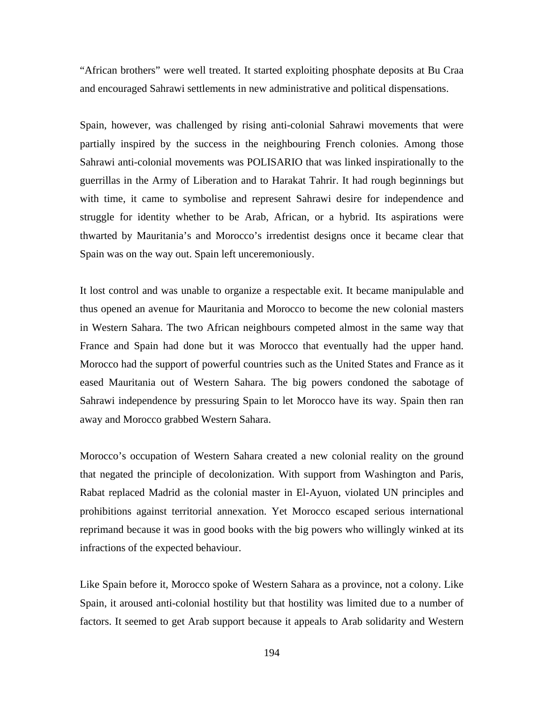"African brothers" were well treated. It started exploiting phosphate deposits at Bu Craa and encouraged Sahrawi settlements in new administrative and political dispensations.

Spain, however, was challenged by rising anti-colonial Sahrawi movements that were partially inspired by the success in the neighbouring French colonies. Among those Sahrawi anti-colonial movements was POLISARIO that was linked inspirationally to the guerrillas in the Army of Liberation and to Harakat Tahrir. It had rough beginnings but with time, it came to symbolise and represent Sahrawi desire for independence and struggle for identity whether to be Arab, African, or a hybrid. Its aspirations were thwarted by Mauritania's and Morocco's irredentist designs once it became clear that Spain was on the way out. Spain left unceremoniously.

It lost control and was unable to organize a respectable exit. It became manipulable and thus opened an avenue for Mauritania and Morocco to become the new colonial masters in Western Sahara. The two African neighbours competed almost in the same way that France and Spain had done but it was Morocco that eventually had the upper hand. Morocco had the support of powerful countries such as the United States and France as it eased Mauritania out of Western Sahara. The big powers condoned the sabotage of Sahrawi independence by pressuring Spain to let Morocco have its way. Spain then ran away and Morocco grabbed Western Sahara.

Morocco's occupation of Western Sahara created a new colonial reality on the ground that negated the principle of decolonization. With support from Washington and Paris, Rabat replaced Madrid as the colonial master in El-Ayuon, violated UN principles and prohibitions against territorial annexation. Yet Morocco escaped serious international reprimand because it was in good books with the big powers who willingly winked at its infractions of the expected behaviour.

Like Spain before it, Morocco spoke of Western Sahara as a province, not a colony. Like Spain, it aroused anti-colonial hostility but that hostility was limited due to a number of factors. It seemed to get Arab support because it appeals to Arab solidarity and Western